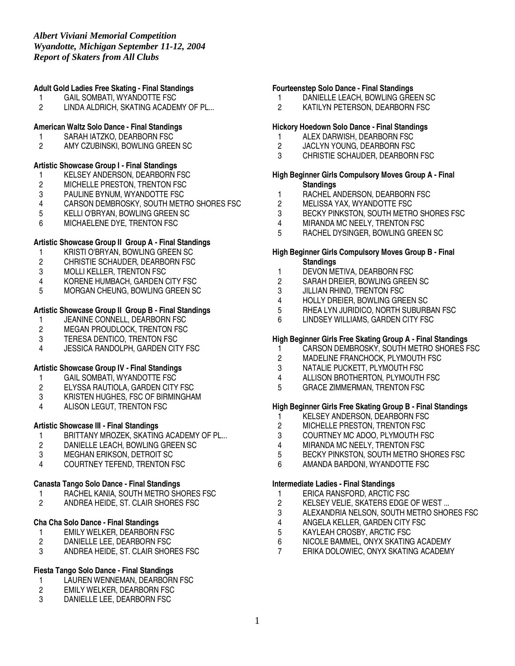# **Adult Gold Ladies Free Skating - Final Standings**

- 1 GAIL SOMBATI, WYANDOTTE FSC
- 2 LINDA ALDRICH, SKATING ACADEMY OF PL...

### **American Waltz Solo Dance - Final Standings**

- 
- 1 SARAH IATZKO, DEARBORN FSC<br>2 AMY CZUBINSKI. BOWLING GREE AMY CZUBINSKI, BOWLING GREEN SC

### **Artistic Showcase Group I - Final Standings**

- 1 KELSEY ANDERSON, DEARBORN FSC<br>2 MICHELLE PRESTON, TRENTON FSC
- 2 MICHELLE PRESTON, TRENTON FSC<br>3 PAULINE BYNUM, WYANDOTTE FSC
- PAULINE BYNUM, WYANDOTTE FSC
- 4 CARSON DEMBROSKY, SOUTH METRO SHORES FSC<br>5 KELLI O'BRYAN. BOWLING GREEN SC
- 5 KELLI O'BRYAN, BOWLING GREEN SC
- 6 MICHAELENE DYE, TRENTON FSC

# **Artistic Showcase Group II Group A - Final Standings**

- 
- 1 KRISTI O'BRYAN, BOWLING GREEN SC<br>2 CHRISTIE SCHAUDER, DEARBORN FSC CHRISTIE SCHAUDER, DEARBORN FSC
- 3 MOLLI KELLER, TRENTON FSC
- 4 KORENE HUMBACH, GARDEN CITY FSC
- 5 MORGAN CHEUNG, BOWLING GREEN SC

# **Artistic Showcase Group II Group B - Final Standings**

- 1 JEANINE CONNELL, DEARBORN FSC<br>2 MEGAN PROUDLOCK. TRENTON FSC
- 2 MEGAN PROUDLOCK, TRENTON FSC<br>3 TERESA DENTICO. TRENTON FSC
- 
- 3 TERESA DENTICO, TRENTON FSC<br>4 JESSICA RANDOLPH. GARDEN CIT JESSICA RANDOLPH, GARDEN CITY FSC

# **Artistic Showcase Group IV - Final Standings**

- 1 GAIL SOMBATI, WYANDOTTE FSC
- 2 ELYSSA RAUTIOLA, GARDEN CITY FSC
- 3 KRISTEN HUGHES, FSC OF BIRMINGHAM<br>4 ALISON LEGUT. TRENTON FSC
- ALISON LEGUT, TRENTON FSC

# **Artistic Showcase III - Final Standings**

- 1 BRITTANY MROZEK, SKATING ACADEMY OF PL...<br>2 DANIELLE LEACH. BOWLING GREEN SC
- 2 DANIELLE LEACH, BOWLING GREEN SC
- 3 MEGHAN ERIKSON, DETROIT SC
- 4 COURTNEY TEFEND, TRENTON FSC

# **Canasta Tango Solo Dance - Final Standings**

- 1 RACHEL KANIA, SOUTH METRO SHORES FSC<br>2 ANDREA HEIDE. ST. CLAIR SHORES FSC
- 2 ANDREA HEIDE, ST. CLAIR SHORES FSC

# **Cha Cha Solo Dance - Final Standings**

- 1 EMILY WELKER, DEARBORN FSC<br>2 DANIELLE LEE, DEARBORN FSC
- DANIELLE LEE, DEARBORN FSC
- 3 ANDREA HEIDE, ST. CLAIR SHORES FSC

# **Fiesta Tango Solo Dance - Final Standings**

- 1 LAUREN WENNEMAN, DEARBORN FSC<br>2 EMILY WELKER. DEARBORN FSC
- 2 EMILY WELKER, DEARBORN FSC<br>3 DANIFLLE LEE DEARBORN FSC
- DANIELLE LEE, DEARBORN FSC

### **Fourteenstep Solo Dance - Final Standings**

- 1 DANIELLE LEACH, BOWLING GREEN SC
- 2 KATILYN PETERSON, DEARBORN FSC

### **Hickory Hoedown Solo Dance - Final Standings**

- 1 ALEX DARWISH, DEARBORN FSC<br>2 JACLYN YOUNG. DEARBORN FSC
- 2 JACLYN YOUNG, DEARBORN FSC<br>3 CHRISTIE SCHAUDER. DEARBORN
- CHRISTIE SCHAUDER, DEARBORN FSC

### **High Beginner Girls Compulsory Moves Group A - Final Standings**

- 1 RACHEL ANDERSON, DEARBORN FSC<br>2 MELISSA YAX, WYANDOTTE FSC
- 2 MELISSA YAX, WYANDOTTE FSC<br>3 BECKY PINKSTON. SOUTH METR
- 3 BECKY PINKSTON, SOUTH METRO SHORES FSC<br>4 MIRANDA MC NEELY, TRENTON FSC
- 
- 4 MIRANDA MC NEELY, TRENTON FSC<br>5 RACHEL DYSINGER. BOWLING GREE 5 RACHEL DYSINGER, BOWLING GREEN SC

### **High Beginner Girls Compulsory Moves Group B - Final Standings**

- 1 DEVON METIVA, DEARBORN FSC
- 2 SARAH DREIER, BOWLING GREEN SC
- 3 JILLIAN RHIND, TRENTON FSC<br>4 HOLLY DREIER, BOWLING GRE
- 4 HOLLY DREIER, BOWLING GREEN SC<br>5 RHEA LYN JURIDICO, NORTH SUBURE
- 5 RHEA LYN JURIDICO, NORTH SUBURBAN FSC
- 6 LINDSEY WILLIAMS, GARDEN CITY FSC

# **High Beginner Girls Free Skating Group A - Final Standings**

- 1 CARSON DEMBROSKY, SOUTH METRO SHORES FSC
- 2 MADELINE FRANCHOCK, PLYMOUTH FSC<br>3 MATALIE PUCKETT. PLYMOUTH FSC
- NATALIE PUCKETT, PLYMOUTH FSC
- 4 ALLISON BROTHERTON, PLYMOUTH FSC
- 5 GRACE ZIMMERMAN, TRENTON FSC

# **High Beginner Girls Free Skating Group B - Final Standings**

- 1 KELSEY ANDERSON, DEARBORN FSC<br>2 MICHELLE PRESTON, TRENTON FSC
- 2 MICHELLE PRESTON, TRENTON FSC<br>3 COURTNEY MC ADOO. PLYMOUTH FS
- 3 COURTNEY MC ADOO, PLYMOUTH FSC<br>4 MIRANDA MC NEELY. TRENTON FSC
- MIRANDA MC NEELY, TRENTON FSC
- 5 BECKY PINKSTON, SOUTH METRO SHORES FSC
- 6 AMANDA BARDONI, WYANDOTTE FSC

# **Intermediate Ladies - Final Standings**

- 1 ERICA RANSFORD, ARCTIC FSC<br>2 KELSEY VELIE, SKATERS EDGE
- KELSEY VELIE, SKATERS EDGE OF WEST ...
- 3 ALEXANDRIA NELSON, SOUTH METRO SHORES FSC
- 4 ANGELA KELLER, GARDEN CITY FSC<br>5 KAYLEAH CROSBY. ARCTIC FSC
- 5 KAYLEAH CROSBY, ARCTIC FSC
- 6 NICOLE BAMMEL, ONYX SKATING ACADEMY
- 7 ERIKA DOLOWIEC, ONYX SKATING ACADEMY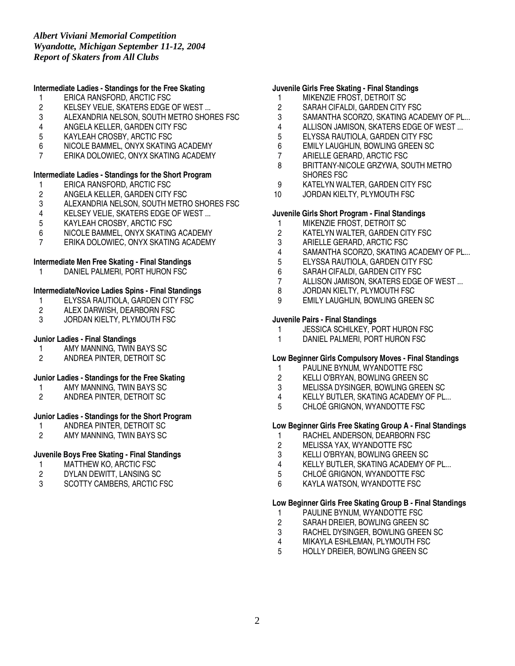# **Intermediate Ladies - Standings for the Free Skating**

- 1 ERICA RANSFORD, ARCTIC FSC
- 2 KELSEY VELIE, SKATERS EDGE OF WEST ...<br>3 ALEXANDRIA NELSON. SOUTH METRO SHOP
- ALEXANDRIA NELSON, SOUTH METRO SHORES FSC
- 4 ANGELA KELLER, GARDEN CITY FSC
- 5 KAYLEAH CROSBY, ARCTIC FSC
- 6 NICOLE BAMMEL, ONYX SKATING ACADEMY
- 7 ERIKA DOLOWIEC, ONYX SKATING ACADEMY

### **Intermediate Ladies - Standings for the Short Program**

- 1 ERICA RANSFORD, ARCTIC FSC<br>2 ANGELA KELLER, GARDEN CITY
- 2 ANGELA KELLER, GARDEN CITY FSC<br>3 ALEXANDRIA NELSON, SOUTH METRO
- 3 ALEXANDRIA NELSON, SOUTH METRO SHORES FSC<br>4 KELSEY VELIE. SKATERS EDGE OF WEST...
- 4 KELSEY VELIE, SKATERS EDGE OF WEST ...<br>5 KAYLEAH CROSBY. ARCTIC FSC
- 5 KAYLEAH CROSBY, ARCTIC FSC
- 6 NICOLE BAMMEL, ONYX SKATING ACADEMY
- 7 ERIKA DOLOWIEC, ONYX SKATING ACADEMY

### **Intermediate Men Free Skating - Final Standings**

1 DANIEL PALMERI, PORT HURON FSC

# **Intermediate/Novice Ladies Spins - Final Standings**

- 1 ELYSSA RAUTIOLA, GARDEN CITY FSC<br>2 ALEX DARWISH, DEARBORN FSC
- ALEX DARWISH, DEARBORN FSC
- 3 JORDAN KIELTY, PLYMOUTH FSC

### **Junior Ladies - Final Standings**

- 1 AMY MANNING, TWIN BAYS SC<br>2 ANDREA PINTER. DETROIT SC
- 2 ANDREA PINTER, DETROIT SC

#### **Junior Ladies - Standings for the Free Skating**

- 1 AMY MANNING, TWIN BAYS SC<br>2 ANDREA PINTER. DETROIT SC
- 2 ANDREA PINTER, DETROIT SC

# **Junior Ladies - Standings for the Short Program**

- 1 ANDREA PINTER, DETROIT SC<br>2 AMY MANNING. TWIN BAYS SC
- 2 AMY MANNING, TWIN BAYS SC

# **Juvenile Boys Free Skating - Final Standings**

- 1 MATTHEW KO, ARCTIC FSC
- 2 DYLAN DEWITT, LANSING SC
- 3 SCOTTY CAMBERS, ARCTIC FSC

### **Juvenile Girls Free Skating - Final Standings**

- 1 MIKENZIE FROST, DETROIT SC
- 2 SARAH CIFALDI, GARDEN CITY FSC<br>3 SAMANTHA SCORZO. SKATING ACA
- SAMANTHA SCORZO, SKATING ACADEMY OF PL...
- 4 ALLISON JAMISON, SKATERS EDGE OF WEST ...
- 
- 5 ELYSSA RAUTIOLA, GARDEN CITY FSC<br>6 EMILY LAUGHLIN. BOWLING GREEN SC 6 EMILY LAUGHLIN, BOWLING GREEN SC
- 7 ARIELLE GERARD, ARCTIC FSC
- 8 BRITTANY-NICOLE GRZYWA, SOUTH METRO SHORES FSC
- 9 KATELYN WALTER, GARDEN CITY FSC
- 10 JORDAN KIELTY, PLYMOUTH FSC

#### **Juvenile Girls Short Program - Final Standings**

- 1 MIKENZIE FROST, DETROIT SC<br>2 KATELYN WALTER. GARDEN CI
- 2 KATELYN WALTER, GARDEN CITY FSC<br>3 ARIELLE GERARD. ARCTIC FSC
- 3 ARIELLE GERARD, ARCTIC FSC
- 4 SAMANTHA SCORZO, SKATING ACADEMY OF PL...
- 5 ELYSSA RAUTIOLA, GARDEN CITY FSC
- 6 SARAH CIFALDI, GARDEN CITY FSC
- 7 ALLISON JAMISON, SKATERS EDGE OF WEST ...
- 8 JORDAN KIELTY, PLYMOUTH FSC<br>9 EMILY LAUGHLIN, BOWLING GREE
- EMILY LAUGHLIN, BOWLING GREEN SC

### **Juvenile Pairs - Final Standings**

- 1 JESSICA SCHILKEY, PORT HURON FSC<br>1 DANIEL PALMERI, PORT HURON FSC
- DANIEL PALMERI, PORT HURON FSC

#### **Low Beginner Girls Compulsory Moves - Final Standings**

- 1 PAULINE BYNUM, WYANDOTTE FSC
- 2 KELLI O'BRYAN, BOWLING GREEN SC
- 3 MELISSA DYSINGER, BOWLING GREEN SC
- 4 KELLY BUTLER, SKATING ACADEMY OF PL...<br>5 CHLOÉ GRIGNON. WYANDOTTE FSC
- CHLOÉ GRIGNON, WYANDOTTE FSC

### **Low Beginner Girls Free Skating Group A - Final Standings**

- 1 RACHEL ANDERSON, DEARBORN FSC<br>2 MELISSA YAX. WYANDOTTE FSC
- MELISSA YAX, WYANDOTTE FSC
- 3 KELLI O'BRYAN, BOWLING GREEN SC
- 4 KELLY BUTLER, SKATING ACADEMY OF PL...
- 5 CHLOÉ GRIGNON, WYANDOTTE FSC
- 6 KAYLA WATSON, WYANDOTTE FSC

# **Low Beginner Girls Free Skating Group B - Final Standings**

- 1 PAULINE BYNUM, WYANDOTTE FSC<br>2 SARAH DREIER, BOWLING GREEN S
- 2 SARAH DREIER, BOWLING GREEN SC<br>3 RACHEL DYSINGER. BOWLING GREEN
- RACHEL DYSINGER, BOWLING GREEN SC
- 4 MIKAYLA ESHLEMAN, PLYMOUTH FSC
- 5 HOLLY DREIER, BOWLING GREEN SC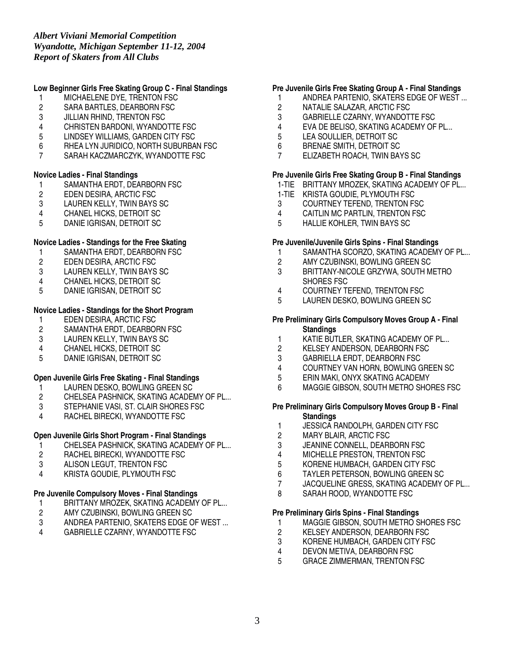# **Low Beginner Girls Free Skating Group C - Final Standings**

- 1 MICHAELENE DYE, TRENTON FSC
- 2 SARA BARTLES, DEARBORN FSC<br>3 JILLIAN RHIND. TRENTON FSC
- **JILLIAN RHIND, TRENTON FSC**
- 4 CHRISTEN BARDONI, WYANDOTTE FSC
- 5 LINDSEY WILLIAMS, GARDEN CITY FSC
- 6 RHEA LYN JURIDICO, NORTH SUBURBAN FSC
- 7 SARAH KACZMARCZYK, WYANDOTTE FSC

### **Novice Ladies - Final Standings**

- 1 SAMANTHA ERDT, DEARBORN FSC<br>2 EDEN DESIRA, ARCTIC FSC
- 2 EDEN DESIRA, ARCTIC FSC<br>3 LAUREN KELLY, TWIN BAYS
- 3 LAUREN KELLY, TWIN BAYS SC<br>4 CHANEL HICKS. DETROIT SC
- CHANEL HICKS, DETROIT SC
- 5 DANIE IGRISAN, DETROIT SC

# **Novice Ladies - Standings for the Free Skating**

- 
- 1 SAMANTHA ERDT, DEARBORN FSC<br>2 EDEN DESIRA, ARCTIC FSC 2 EDEN DESIRA, ARCTIC FSC
- 3 LAUREN KELLY, TWIN BAYS SC
- 4 CHANEL HICKS, DETROIT SC
- 5 DANIE IGRISAN, DETROIT SC

# **Novice Ladies - Standings for the Short Program**

- 1 EDEN DESIRA, ARCTIC FSC<br>2 SAMANTHA ERDT, DEARBOR
- 2 SAMANTHA ERDT, DEARBORN FSC<br>3 LAUREN KELLY. TWIN BAYS SC
- 3 LAUREN KELLY, TWIN BAYS SC<br>4 CHANEL HICKS. DETROIT SC
- CHANEL HICKS, DETROIT SC
- 5 DANIE IGRISAN, DETROIT SC

# **Open Juvenile Girls Free Skating - Final Standings**

- 1 LAUREN DESKO, BOWLING GREEN SC<br>2 CHELSEA PASHNICK, SKATING ACADEN
- 2 CHELSEA PASHNICK, SKATING ACADEMY OF PL...<br>3 STEPHANIE VASI. ST. CLAIR SHORES FSC
- 3 STEPHANIE VASI, ST. CLAIR SHORES FSC<br>4 RACHEL BIRECKI. WYANDOTTE FSC
- RACHEL BIRECKI, WYANDOTTE FSC

# **Open Juvenile Girls Short Program - Final Standings**

- 1 CHELSEA PASHNICK, SKATING ACADEMY OF PL...<br>2 RACHEL BIRECKI. WYANDOTTE FSC
- RACHEL BIRECKI, WYANDOTTE FSC
- 3 ALISON LEGUT, TRENTON FSC
- 4 KRISTA GOUDIE, PLYMOUTH FSC

# **Pre Juvenile Compulsory Moves - Final Standings**

- 1 BRITTANY MROZEK, SKATING ACADEMY OF PL...<br>2 AMY CZUBINSKI, BOWLING GREEN SC
- 
- 2 AMY CZUBINSKI, BOWLING GREEN SC<br>3 ANDREA PARTENIO, SKATERS EDGE OI 3 ANDREA PARTENIO, SKATERS EDGE OF WEST ...<br>4 GABBIELLE CZARNY WYANDOTTE ESC
- GABRIELLE CZARNY, WYANDOTTE FSC

### **Pre Juvenile Girls Free Skating Group A - Final Standings**

- 1 ANDREA PARTENIO, SKATERS EDGE OF WEST ...
- 2 NATALIE SALAZAR, ARCTIC FSC<br>3 GABRIELLE CZARNY. WYANDOT
- GABRIELLE CZARNY, WYANDOTTE FSC
- 4 EVA DE BELISO, SKATING ACADEMY OF PL...
- 5 LEA SOULLIER, DETROIT SC<br>6 BRENAE SMITH. DETROIT SC
- 6 BRENAE SMITH, DETROIT SC
- 7 ELIZABETH ROACH, TWIN BAYS SC

### **Pre Juvenile Girls Free Skating Group B - Final Standings**

- 1-TIE BRITTANY MROZEK, SKATING ACADEMY OF PL...
- 1-TIE KRISTA GOUDIE, PLYMOUTH FSC
- 3 COURTNEY TEFEND, TRENTON FSC<br>4 CAITLIN MC PARTLIN. TRENTON FSC
- CAITLIN MC PARTLIN, TRENTON FSC
- 5 HALLIE KOHLER, TWIN BAYS SC

### **Pre Juvenile/Juvenile Girls Spins - Final Standings**

- 1 SAMANTHA SCORZO, SKATING ACADEMY OF PL...<br>2 AMY CZUBINSKI. BOWLING GREEN SC
- AMY CZUBINSKI, BOWLING GREEN SC
- 3 BRITTANY-NICOLE GRZYWA, SOUTH METRO SHORES FSC
- 
- 4 COURTNEY TEFEND, TRENTON FSC<br>5 LAUREN DESKO, BOWLING GREEN S LAUREN DESKO, BOWLING GREEN SC

### **Pre Preliminary Girls Compulsory Moves Group A - Final Standings**

- 1 KATIE BUTLER, SKATING ACADEMY OF PL...<br>2 KELSEY ANDERSON. DEARBORN FSC
- KELSEY ANDERSON, DEARBORN FSC
- 3 GABRIELLA ERDT, DEARBORN FSC
- 4 COURTNEY VAN HORN, BOWLING GREEN SC
- 5 ERIN MAKI, ONYX SKATING ACADEMY
- 6 MAGGIE GIBSON, SOUTH METRO SHORES FSC

### **Pre Preliminary Girls Compulsory Moves Group B - Final Standings**

- 1 JESSICA RANDOLPH, GARDEN CITY FSC<br>2 MARY BLAIR, ARCTIC FSC
- MARY BLAIR, ARCTIC FSC
- 3 JEANINE CONNELL, DEARBORN FSC
- 4 MICHELLE PRESTON, TRENTON FSC
- 5 KORENE HUMBACH, GARDEN CITY FSC
- 6 TAYLER PETERSON, BOWLING GREEN SC
- 7 JACQUELINE GRESS, SKATING ACADEMY OF PL...
- 8 SARAH ROOD, WYANDOTTE FSC

## **Pre Preliminary Girls Spins - Final Standings**

- 1 MAGGIE GIBSON, SOUTH METRO SHORES FSC<br>2 KELSEY ANDERSON, DEARBORN FSC
- 
- 2 KELSEY ANDERSON, DEARBORN FSC<br>3 KORENE HUMBACH, GARDEN CITY FS 3 KORENE HUMBACH, GARDEN CITY FSC<br>4 DEVON METIVA. DEARBORN FSC
- 4 DEVON METIVA, DEARBORN FSC<br>5 GRACE ZIMMERMAN. TRENTON F
- 5 GRACE ZIMMERMAN, TRENTON FSC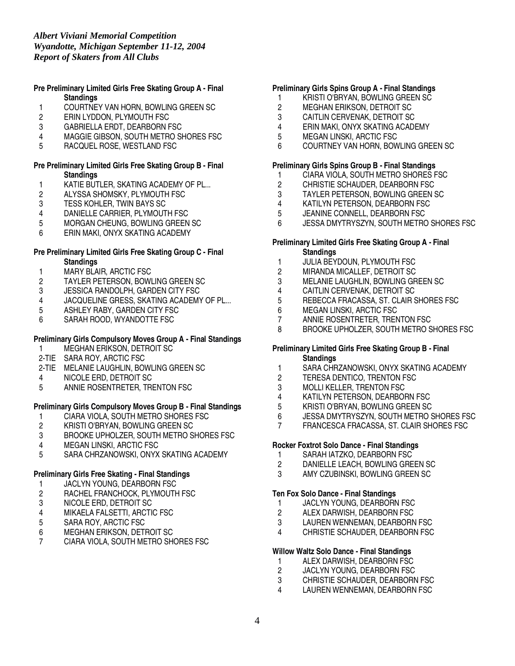## **Pre Preliminary Limited Girls Free Skating Group A - Final Standings**

- 1 COURTNEY VAN HORN, BOWLING GREEN SC<br>2 ERIN LYDDON. PLYMOUTH FSC
- ERIN LYDDON, PLYMOUTH FSC
- 3 GABRIELLA ERDT, DEARBORN FSC
- 4 MAGGIE GIBSON, SOUTH METRO SHORES FSC<br>5 RACQUEL ROSE. WESTLAND FSC
- 5 RACQUEL ROSE, WESTLAND FSC

### **Pre Preliminary Limited Girls Free Skating Group B - Final Standings**

- 1 KATIE BUTLER, SKATING ACADEMY OF PL...<br>2 ALYSSA SHOMSKY, PLYMOUTH FSC
- 2 ALYSSA SHOMSKY, PLYMOUTH FSC<br>3 TESS KOHLER, TWIN BAYS SC
- 3 TESS KOHLER, TWIN BAYS SC<br>4 DANIELLE CARRIER, PLYMOUT
- 4 DANIELLE CARRIER, PLYMOUTH FSC<br>5 MORGAN CHEUNG. BOWLING GREEN
- 5 MORGAN CHEUNG, BOWLING GREEN SC
- 6 ERIN MAKI, ONYX SKATING ACADEMY

### **Pre Preliminary Limited Girls Free Skating Group C - Final Standings**

- 
- 1 MARY BLAIR, ARCTIC FSC<br>2 TAYLER PETERSON, BOWI 2 TAYLER PETERSON, BOWLING GREEN SC
- 
- 3 JESSICA RANDOLPH, GARDEN CITY FSC<br>4 JACQUELINE GRESS, SKATING ACADEMY 4 JACQUELINE GRESS, SKATING ACADEMY OF PL...<br>5 ASHLEY RABY. GARDEN CITY FSC
- 5 ASHLEY RABY, GARDEN CITY FSC
- 6 SARAH ROOD, WYANDOTTE FSC

# **Preliminary Girls Compulsory Moves Group A - Final Standings**

- MEGHAN ERIKSON, DETROIT SC
- 2-TIE SARA ROY, ARCTIC FSC
- 2-TIE MELANIE LAUGHLIN, BOWLING GREEN SC
- 4 NICOLE ERD, DETROIT SC
- 5 ANNIE ROSENTRETER, TRENTON FSC

# **Preliminary Girls Compulsory Moves Group B - Final Standings**

- 1 CIARA VIOLA, SOUTH METRO SHORES FSC<br>2 KRISTI O'BRYAN, BOWLING GREEN SC
- 2 KRISTI O'BRYAN, BOWLING GREEN SC<br>3 BROOKE UPHOLZER. SOUTH METRO S
- 3 BROOKE UPHOLZER, SOUTH METRO SHORES FSC
- **MEGAN LINSKI, ARCTIC FSC**
- 5 SARA CHRZANOWSKI, ONYX SKATING ACADEMY

# **Preliminary Girls Free Skating - Final Standings**

# 1 JACLYN YOUNG, DEARBORN FSC

- 2 RACHEL FRANCHOCK, PLYMOUTH FSC<br>3 NICOLE ERD, DETROIT SC
- 3 NICOLE ERD, DETROIT SC<br>4 MIKAELA FALSETTI, ARCTI
- 4 MIKAELA FALSETTI, ARCTIC FSC<br>5 SARA ROY, ARCTIC FSC
- 
- 5 SARA ROY, ARCTIC FSC<br>6 MEGHAN ERIKSON, DETI **MEGHAN ERIKSON, DETROIT SC**
- 7 CIARA VIOLA, SOUTH METRO SHORES FSC

# **Preliminary Girls Spins Group A - Final Standings**

- 1 KRISTI O'BRYAN, BOWLING GREEN SC
- 2 MEGHAN ERIKSON, DETROIT SC<br>3 CAITLIN CERVENAK. DETROIT SC
- CAITLIN CERVENAK, DETROIT SC
- 4 ERIN MAKI, ONYX SKATING ACADEMY
- 5 MEGAN LINSKI, ARCTIC FSC<br>6 COURTNEY VAN HORN, BOW
- 6 COURTNEY VAN HORN, BOWLING GREEN SC

# **Preliminary Girls Spins Group B - Final Standings**

- 1 CIARA VIOLA, SOUTH METRO SHORES FSC<br>2 CHRISTIE SCHAUDER, DEARBORN FSC
- 2 CHRISTIE SCHAUDER, DEARBORN FSC<br>3 TAYLER PETERSON, BOWLING GREEN (
- TAYLER PETERSON, BOWLING GREEN SC
- 
- 4 KATILYN PETERSON, DEARBORN FSC<br>5 JEANINE CONNELL. DEARBORN FSC JEANINE CONNELL, DEARBORN FSC
- 6 JESSA DMYTRYSZYN, SOUTH METRO SHORES FSC

# **Preliminary Limited Girls Free Skating Group A - Final Standings**

- 1 JULIA BEYDOUN, PLYMOUTH FSC
- 2 MIRANDA MICALLEF, DETROIT SC
- 3 MELANIE LAUGHLIN, BOWLING GREEN SC
- 4 CAITLIN CERVENAK, DETROIT SC<br>5 REBECCA FRACASSA. ST. CLAIR 9
- 5 REBECCA FRACASSA, ST. CLAIR SHORES FSC<br>6 MEGAN LINSKI. ARCTIC FSC
- 6 MEGAN LINSKI, ARCTIC FSC<br>7 ANNIE ROSENTRETER, TREN
- ANNIE ROSENTRETER, TRENTON FSC
- 8 BROOKE UPHOLZER, SOUTH METRO SHORES FSC

# **Preliminary Limited Girls Free Skating Group B - Final Standings**

- 1 SARA CHRZANOWSKI, ONYX SKATING ACADEMY
- 2 TERESA DENTICO, TRENTON FSC
- 3 MOLLI KELLER, TRENTON FSC
- 4 KATILYN PETERSON, DEARBORN FSC<br>5 KRISTI O'BRYAN. BOWLING GREEN SC
- 5 KRISTI O'BRYAN, BOWLING GREEN SC
- 6 JESSA DMYTRYSZYN, SOUTH METRO SHORES FSC
- 7 FRANCESCA FRACASSA, ST. CLAIR SHORES FSC

# **Rocker Foxtrot Solo Dance - Final Standings**

- 1 SARAH IATZKO, DEARBORN FSC<br>2 DANIELLE LEACH. BOWLING GRE
- DANIELLE LEACH, BOWLING GREEN SC
- 3 AMY CZUBINSKI, BOWLING GREEN SC

# **Ten Fox Solo Dance - Final Standings**

- 1 JACLYN YOUNG, DEARBORN FSC<br>2 ALEX DARWISH, DEARBORN FSC
- ALEX DARWISH, DEARBORN FSC
- 3 LAUREN WENNEMAN, DEARBORN FSC<br>4 CHRISTIE SCHAUDER. DEARBORN FSC
- CHRISTIE SCHAUDER, DEARBORN FSC

# **Willow Waltz Solo Dance - Final Standings**

- 1 ALEX DARWISH, DEARBORN FSC<br>2 JACLYN YOUNG. DEARBORN FSC
- JACLYN YOUNG, DEARBORN FSC
- 3 CHRISTIE SCHAUDER, DEARBORN FSC
- 4 LAUREN WENNEMAN, DEARBORN FSC